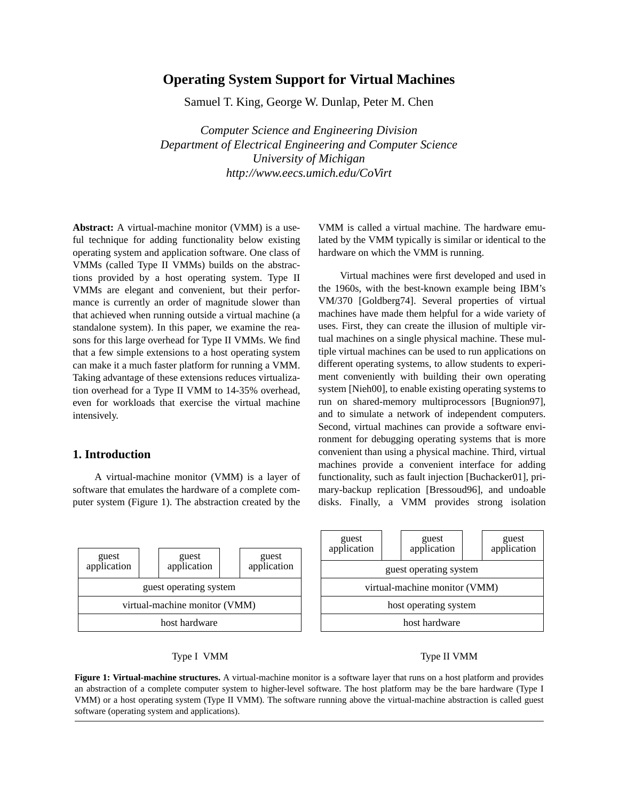# **Operating System Support for Virtual Machines**

Samuel T. King, George W. Dunlap, Peter M. Chen

*Computer Science and Engineering Division Department of Electrical Engineering and Computer Science University of Michigan http://www.eecs.umich.edu/CoVirt*

**Abstract:** A virtual-machine monitor (VMM) is a useful technique for adding functionality below existing operating system and application software. One class of VMMs (called Type II VMMs) builds on the abstractions provided by a host operating system. Type II VMMs are elegant and convenient, but their performance is currently an order of magnitude slower than that achieved when running outside a virtual machine (a standalone system). In this paper, we examine the reasons for this large overhead for Type II VMMs. We find that a few simple extensions to a host operating system can make it a much faster platform for running a VMM. Taking advantage of these extensions reduces virtualization overhead for a Type II VMM to 14-35% overhead, even for workloads that exercise the virtual machine intensively.

# **1. Introduction**

A virtual-machine monitor (VMM) is a layer of software that emulates the hardware of a complete computer system (Figure 1). The abstraction created by the



VMM is called a virtual machine. The hardware emulated by the VMM typically is similar or identical to the hardware on which the VMM is running.

Virtual machines were first developed and used in the 1960s, with the best-known example being IBM's VM/370 [Goldberg74]. Several properties of virtual machines have made them helpful for a wide variety of uses. First, they can create the illusion of multiple virtual machines on a single physical machine. These multiple virtual machines can be used to run applications on different operating systems, to allow students to experiment conveniently with building their own operating system [Nieh00], to enable existing operating systems to run on shared-memory multiprocessors [Bugnion97], and to simulate a network of independent computers. Second, virtual machines can provide a software environment for debugging operating systems that is more convenient than using a physical machine. Third, virtual machines provide a convenient interface for adding functionality, such as fault injection [Buchacker01], primary-backup replication [Bressoud96], and undoable disks. Finally, a VMM provides strong isolation

| guest<br>application          |  | guest<br>application |  | guest<br>application |
|-------------------------------|--|----------------------|--|----------------------|
| guest operating system        |  |                      |  |                      |
| virtual-machine monitor (VMM) |  |                      |  |                      |
| host operating system         |  |                      |  |                      |
| host hardware                 |  |                      |  |                      |

## Type I VMM Type II VMM

**Figure 1: Virtual-machine structures.** A virtual-machine monitor is a software layer that runs on a host platform and provides an abstraction of a complete computer system to higher-level software. The host platform may be the bare hardware (Type I VMM) or a host operating system (Type II VMM). The software running above the virtual-machine abstraction is called guest software (operating system and applications).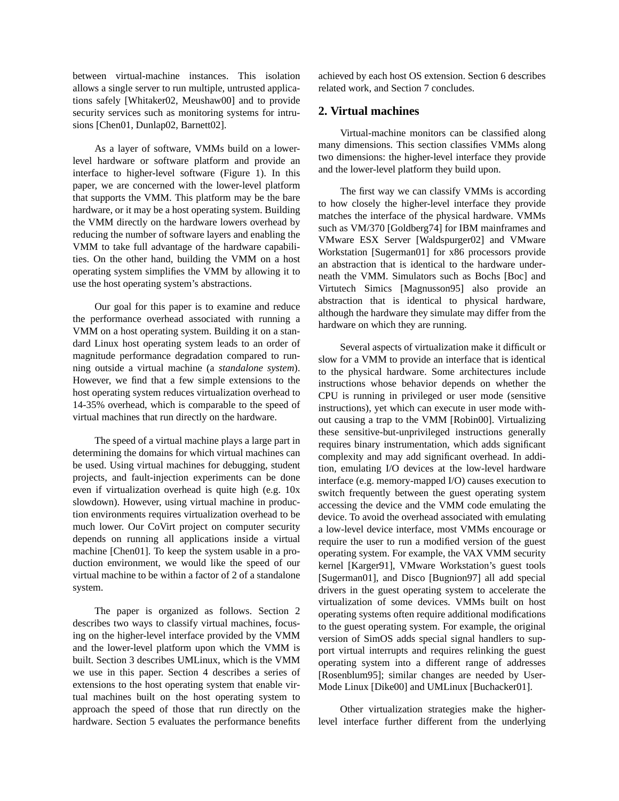between virtual-machine instances. This isolation allows a single server to run multiple, untrusted applications safely [Whitaker02, Meushaw00] and to provide security services such as monitoring systems for intrusions [Chen01, Dunlap02, Barnett02].

As a layer of software, VMMs build on a lowerlevel hardware or software platform and provide an interface to higher-level software (Figure 1). In this paper, we are concerned with the lower-level platform that supports the VMM. This platform may be the bare hardware, or it may be a host operating system. Building the VMM directly on the hardware lowers overhead by reducing the number of software layers and enabling the VMM to take full advantage of the hardware capabilities. On the other hand, building the VMM on a host operating system simplifies the VMM by allowing it to use the host operating system's abstractions.

Our goal for this paper is to examine and reduce the performance overhead associated with running a VMM on a host operating system. Building it on a standard Linux host operating system leads to an order of magnitude performance degradation compared to running outside a virtual machine (a *standalone system*). However, we find that a few simple extensions to the host operating system reduces virtualization overhead to 14-35% overhead, which is comparable to the speed of virtual machines that run directly on the hardware.

The speed of a virtual machine plays a large part in determining the domains for which virtual machines can be used. Using virtual machines for debugging, student projects, and fault-injection experiments can be done even if virtualization overhead is quite high (e.g. 10x slowdown). However, using virtual machine in production environments requires virtualization overhead to be much lower. Our CoVirt project on computer security depends on running all applications inside a virtual machine [Chen01]. To keep the system usable in a production environment, we would like the speed of our virtual machine to be within a factor of 2 of a standalone system.

The paper is organized as follows. Section 2 describes two ways to classify virtual machines, focusing on the higher-level interface provided by the VMM and the lower-level platform upon which the VMM is built. Section 3 describes UMLinux, which is the VMM we use in this paper. Section 4 describes a series of extensions to the host operating system that enable virtual machines built on the host operating system to approach the speed of those that run directly on the hardware. Section 5 evaluates the performance benefits achieved by each host OS extension. Section 6 describes related work, and Section 7 concludes.

### **2. Virtual machines**

Virtual-machine monitors can be classified along many dimensions. This section classifies VMMs along two dimensions: the higher-level interface they provide and the lower-level platform they build upon.

The first way we can classify VMMs is according to how closely the higher-level interface they provide matches the interface of the physical hardware. VMMs such as VM/370 [Goldberg74] for IBM mainframes and VMware ESX Server [Waldspurger02] and VMware Workstation [Sugerman01] for x86 processors provide an abstraction that is identical to the hardware underneath the VMM. Simulators such as Bochs [Boc] and Virtutech Simics [Magnusson95] also provide an abstraction that is identical to physical hardware, although the hardware they simulate may differ from the hardware on which they are running.

Several aspects of virtualization make it difficult or slow for a VMM to provide an interface that is identical to the physical hardware. Some architectures include instructions whose behavior depends on whether the CPU is running in privileged or user mode (sensitive instructions), yet which can execute in user mode without causing a trap to the VMM [Robin00]. Virtualizing these sensitive-but-unprivileged instructions generally requires binary instrumentation, which adds significant complexity and may add significant overhead. In addition, emulating I/O devices at the low-level hardware interface (e.g. memory-mapped I/O) causes execution to switch frequently between the guest operating system accessing the device and the VMM code emulating the device. To avoid the overhead associated with emulating a low-level device interface, most VMMs encourage or require the user to run a modified version of the guest operating system. For example, the VAX VMM security kernel [Karger91], VMware Workstation's guest tools [Sugerman01], and Disco [Bugnion97] all add special drivers in the guest operating system to accelerate the virtualization of some devices. VMMs built on host operating systems often require additional modifications to the guest operating system. For example, the original version of SimOS adds special signal handlers to support virtual interrupts and requires relinking the guest operating system into a different range of addresses [Rosenblum95]; similar changes are needed by User-Mode Linux [Dike00] and UMLinux [Buchacker01].

Other virtualization strategies make the higherlevel interface further different from the underlying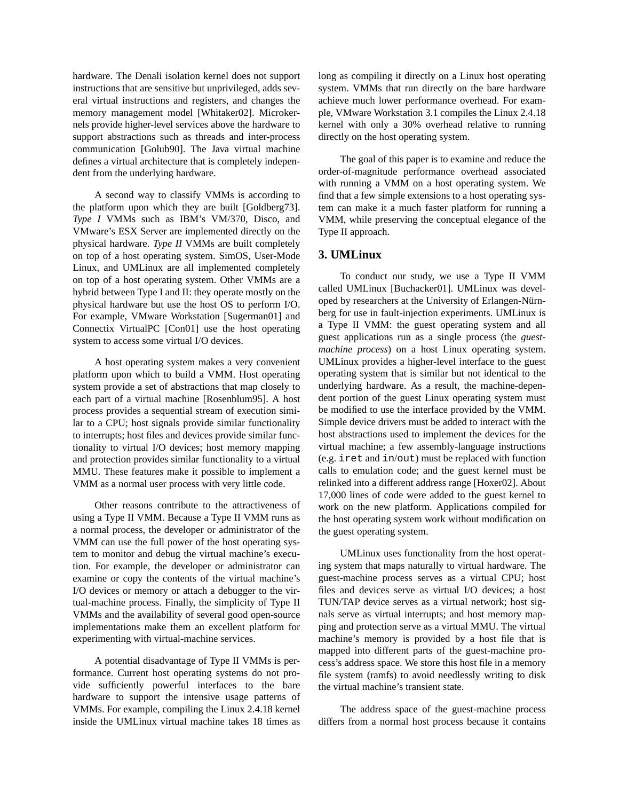hardware. The Denali isolation kernel does not support instructions that are sensitive but unprivileged, adds several virtual instructions and registers, and changes the memory management model [Whitaker02]. Microkernels provide higher-level services above the hardware to support abstractions such as threads and inter-process communication [Golub90]. The Java virtual machine defines a virtual architecture that is completely independent from the underlying hardware.

A second way to classify VMMs is according to the platform upon which they are built [Goldberg73]. *Type I* VMMs such as IBM's VM/370, Disco, and VMware's ESX Server are implemented directly on the physical hardware. *Type II* VMMs are built completely on top of a host operating system. SimOS, User-Mode Linux, and UMLinux are all implemented completely on top of a host operating system. Other VMMs are a hybrid between Type I and II: they operate mostly on the physical hardware but use the host OS to perform I/O. For example, VMware Workstation [Sugerman01] and Connectix VirtualPC [Con01] use the host operating system to access some virtual I/O devices.

A host operating system makes a very convenient platform upon which to build a VMM. Host operating system provide a set of abstractions that map closely to each part of a virtual machine [Rosenblum95]. A host process provides a sequential stream of execution similar to a CPU; host signals provide similar functionality to interrupts; host files and devices provide similar functionality to virtual I/O devices; host memory mapping and protection provides similar functionality to a virtual MMU. These features make it possible to implement a VMM as a normal user process with very little code.

Other reasons contribute to the attractiveness of using a Type II VMM. Because a Type II VMM runs as a normal process, the developer or administrator of the VMM can use the full power of the host operating system to monitor and debug the virtual machine's execution. For example, the developer or administrator can examine or copy the contents of the virtual machine's I/O devices or memory or attach a debugger to the virtual-machine process. Finally, the simplicity of Type II VMMs and the availability of several good open-source implementations make them an excellent platform for experimenting with virtual-machine services.

A potential disadvantage of Type II VMMs is performance. Current host operating systems do not provide sufficiently powerful interfaces to the bare hardware to support the intensive usage patterns of VMMs. For example, compiling the Linux 2.4.18 kernel inside the UMLinux virtual machine takes 18 times as long as compiling it directly on a Linux host operating system. VMMs that run directly on the bare hardware achieve much lower performance overhead. For example, VMware Workstation 3.1 compiles the Linux 2.4.18 kernel with only a 30% overhead relative to running directly on the host operating system.

The goal of this paper is to examine and reduce the order-of-magnitude performance overhead associated with running a VMM on a host operating system. We find that a few simple extensions to a host operating system can make it a much faster platform for running a VMM, while preserving the conceptual elegance of the Type II approach.

#### **3. UMLinux**

To conduct our study, we use a Type II VMM called UMLinux [Buchacker01]. UMLinux was developed by researchers at the University of Erlangen-Nürnberg for use in fault-injection experiments. UMLinux is a Type II VMM: the guest operating system and all guest applications run as a single process (the *guestmachine process*) on a host Linux operating system. UMLinux provides a higher-level interface to the guest operating system that is similar but not identical to the underlying hardware. As a result, the machine-dependent portion of the guest Linux operating system must be modified to use the interface provided by the VMM. Simple device drivers must be added to interact with the host abstractions used to implement the devices for the virtual machine; a few assembly-language instructions (e.g. iret and in/out) must be replaced with function calls to emulation code; and the guest kernel must be relinked into a different address range [Hoxer02]. About 17,000 lines of code were added to the guest kernel to work on the new platform. Applications compiled for the host operating system work without modification on the guest operating system.

UMLinux uses functionality from the host operating system that maps naturally to virtual hardware. The guest-machine process serves as a virtual CPU; host files and devices serve as virtual I/O devices; a host TUN/TAP device serves as a virtual network; host signals serve as virtual interrupts; and host memory mapping and protection serve as a virtual MMU. The virtual machine's memory is provided by a host file that is mapped into different parts of the guest-machine process's address space. We store this host file in a memory file system (ramfs) to avoid needlessly writing to disk the virtual machine's transient state.

The address space of the guest-machine process differs from a normal host process because it contains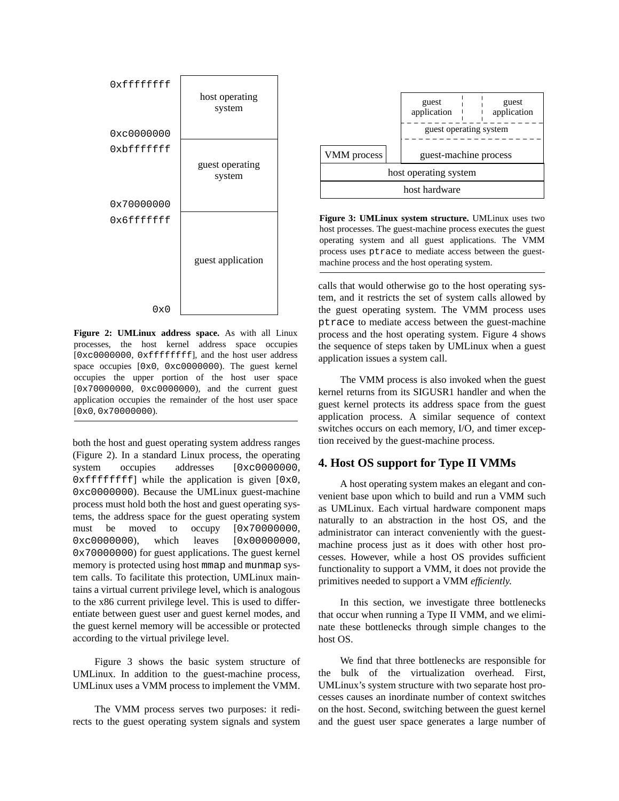

**Figure 2: UMLinux address space.** As with all Linux processes, the host kernel address space occupies [0xc0000000, 0xfffffffff], and the host user address space occupies [0x0, 0xc0000000). The guest kernel occupies the upper portion of the host user space [0x70000000, 0xc0000000), and the current guest application occupies the remainder of the host user space [0x0, 0x70000000).

both the host and guest operating system address ranges (Figure 2). In a standard Linux process, the operating system occupies addresses [0xc0000000,  $0xfffffffff$ ] while the application is given  $[0x0, 0x0]$ 0xc0000000). Because the UMLinux guest-machine process must hold both the host and guest operating systems, the address space for the guest operating system must be moved to occupy  $[0x70000000,$ 0xc0000000), which leaves [0x00000000, 0x70000000) for guest applications. The guest kernel memory is protected using host mmap and munmap system calls. To facilitate this protection, UMLinux maintains a virtual current privilege level, which is analogous to the x86 current privilege level. This is used to differentiate between guest user and guest kernel modes, and the guest kernel memory will be accessible or protected according to the virtual privilege level.

Figure 3 shows the basic system structure of UMLinux. In addition to the guest-machine process, UMLinux uses a VMM process to implement the VMM.

The VMM process serves two purposes: it redirects to the guest operating system signals and system



**Figure 3: UMLinux system structure.** UMLinux uses two host processes. The guest-machine process executes the guest operating system and all guest applications. The VMM process uses ptrace to mediate access between the guestmachine process and the host operating system.

calls that would otherwise go to the host operating system, and it restricts the set of system calls allowed by the guest operating system. The VMM process uses ptrace to mediate access between the guest-machine process and the host operating system. Figure 4 shows the sequence of steps taken by UMLinux when a guest application issues a system call.

The VMM process is also invoked when the guest kernel returns from its SIGUSR1 handler and when the guest kernel protects its address space from the guest application process. A similar sequence of context switches occurs on each memory, I/O, and timer exception received by the guest-machine process.

## **4. Host OS support for Type II VMMs**

A host operating system makes an elegant and convenient base upon which to build and run a VMM such as UMLinux. Each virtual hardware component maps naturally to an abstraction in the host OS, and the administrator can interact conveniently with the guestmachine process just as it does with other host processes. However, while a host OS provides sufficient functionality to support a VMM, it does not provide the primitives needed to support a VMM *efficiently*.

In this section, we investigate three bottlenecks that occur when running a Type II VMM, and we eliminate these bottlenecks through simple changes to the host OS.

We find that three bottlenecks are responsible for the bulk of the virtualization overhead. First, UMLinux's system structure with two separate host processes causes an inordinate number of context switches on the host. Second, switching between the guest kernel and the guest user space generates a large number of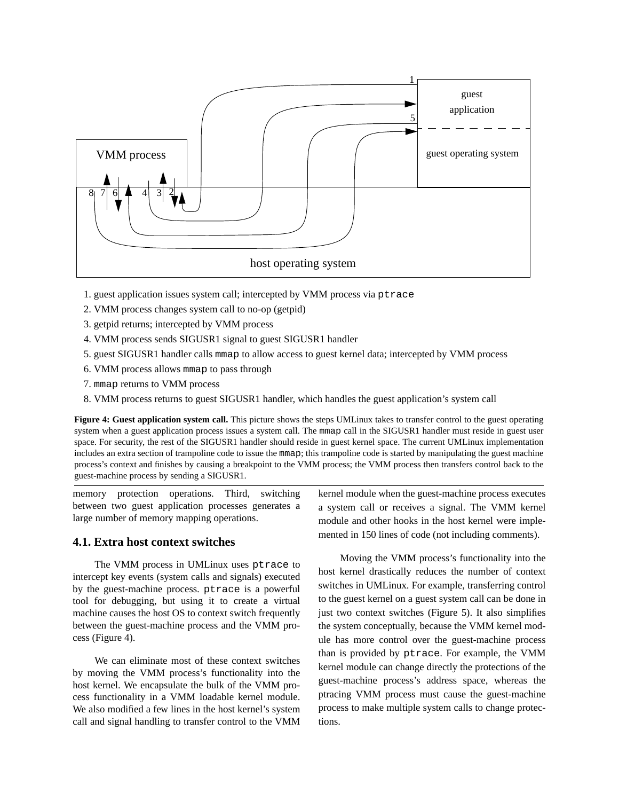

- 1. guest application issues system call; intercepted by VMM process via ptrace
- 2. VMM process changes system call to no-op (getpid)
- 3. getpid returns; intercepted by VMM process
- 4. VMM process sends SIGUSR1 signal to guest SIGUSR1 handler
- 5. guest SIGUSR1 handler calls mmap to allow access to guest kernel data; intercepted by VMM process
- 6. VMM process allows mmap to pass through
- 7. mmap returns to VMM process
- 8. VMM process returns to guest SIGUSR1 handler, which handles the guest application's system call

**Figure 4: Guest application system call.** This picture shows the steps UMLinux takes to transfer control to the guest operating system when a guest application process issues a system call. The mmap call in the SIGUSR1 handler must reside in guest user space. For security, the rest of the SIGUSR1 handler should reside in guest kernel space. The current UMLinux implementation includes an extra section of trampoline code to issue the mmap; this trampoline code is started by manipulating the guest machine process's context and finishes by causing a breakpoint to the VMM process; the VMM process then transfers control back to the guest-machine process by sending a SIGUSR1.

memory protection operations. Third, switching between two guest application processes generates a large number of memory mapping operations.

## **4.1. Extra host context switches**

The VMM process in UMLinux uses ptrace to intercept key events (system calls and signals) executed by the guest-machine process. ptrace is a powerful tool for debugging, but using it to create a virtual machine causes the host OS to context switch frequently between the guest-machine process and the VMM process (Figure 4).

We can eliminate most of these context switches by moving the VMM process's functionality into the host kernel. We encapsulate the bulk of the VMM process functionality in a VMM loadable kernel module. We also modified a few lines in the host kernel's system call and signal handling to transfer control to the VMM kernel module when the guest-machine process executes a system call or receives a signal. The VMM kernel module and other hooks in the host kernel were implemented in 150 lines of code (not including comments).

Moving the VMM process's functionality into the host kernel drastically reduces the number of context switches in UMLinux. For example, transferring control to the guest kernel on a guest system call can be done in just two context switches (Figure 5). It also simplifies the system conceptually, because the VMM kernel module has more control over the guest-machine process than is provided by ptrace. For example, the VMM kernel module can change directly the protections of the guest-machine process's address space, whereas the ptracing VMM process must cause the guest-machine process to make multiple system calls to change protections.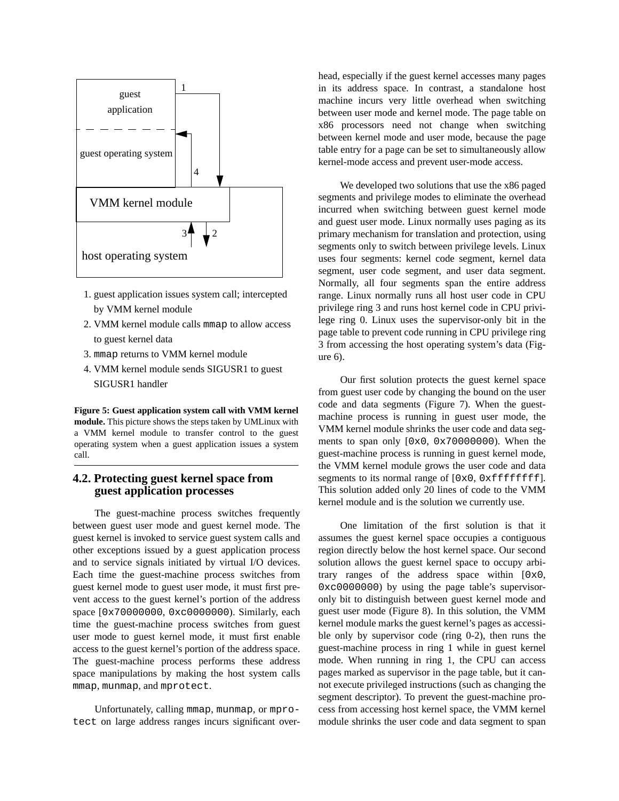

- 1. guest application issues system call; intercepted by VMM kernel module
- 2. VMM kernel module calls mmap to allow access to guest kernel data
- 3. mmap returns to VMM kernel module
- 4. VMM kernel module sends SIGUSR1 to guest SIGUSR1 handler

**Figure 5: Guest application system call with VMM kernel module.** This picture shows the steps taken by UMLinux with a VMM kernel module to transfer control to the guest operating system when a guest application issues a system call.

# **4.2. Protecting guest kernel space from guest application processes**

The guest-machine process switches frequently between guest user mode and guest kernel mode. The guest kernel is invoked to service guest system calls and other exceptions issued by a guest application process and to service signals initiated by virtual I/O devices. Each time the guest-machine process switches from guest kernel mode to guest user mode, it must first prevent access to the guest kernel's portion of the address space [0x70000000, 0xc0000000). Similarly, each time the guest-machine process switches from guest user mode to guest kernel mode, it must first enable access to the guest kernel's portion of the address space. The guest-machine process performs these address space manipulations by making the host system calls mmap, munmap, and mprotect.

Unfortunately, calling mmap, munmap, or mprotect on large address ranges incurs significant overhead, especially if the guest kernel accesses many pages in its address space. In contrast, a standalone host machine incurs very little overhead when switching between user mode and kernel mode. The page table on x86 processors need not change when switching between kernel mode and user mode, because the page table entry for a page can be set to simultaneously allow kernel-mode access and prevent user-mode access.

We developed two solutions that use the x86 paged segments and privilege modes to eliminate the overhead incurred when switching between guest kernel mode and guest user mode. Linux normally uses paging as its primary mechanism for translation and protection, using segments only to switch between privilege levels. Linux uses four segments: kernel code segment, kernel data segment, user code segment, and user data segment. Normally, all four segments span the entire address range. Linux normally runs all host user code in CPU privilege ring 3 and runs host kernel code in CPU privilege ring 0. Linux uses the supervisor-only bit in the page table to prevent code running in CPU privilege ring 3 from accessing the host operating system's data (Figure 6).

Our first solution protects the guest kernel space from guest user code by changing the bound on the user code and data segments (Figure 7). When the guestmachine process is running in guest user mode, the VMM kernel module shrinks the user code and data segments to span only [0x0, 0x70000000). When the guest-machine process is running in guest kernel mode, the VMM kernel module grows the user code and data segments to its normal range of  $[0x0, 0xffffffff]$ . This solution added only 20 lines of code to the VMM kernel module and is the solution we currently use.

One limitation of the first solution is that it assumes the guest kernel space occupies a contiguous region directly below the host kernel space. Our second solution allows the guest kernel space to occupy arbitrary ranges of the address space within [0x0, 0xc0000000) by using the page table's supervisoronly bit to distinguish between guest kernel mode and guest user mode (Figure 8). In this solution, the VMM kernel module marks the guest kernel's pages as accessible only by supervisor code (ring 0-2), then runs the guest-machine process in ring 1 while in guest kernel mode. When running in ring 1, the CPU can access pages marked as supervisor in the page table, but it cannot execute privileged instructions (such as changing the segment descriptor). To prevent the guest-machine process from accessing host kernel space, the VMM kernel module shrinks the user code and data segment to span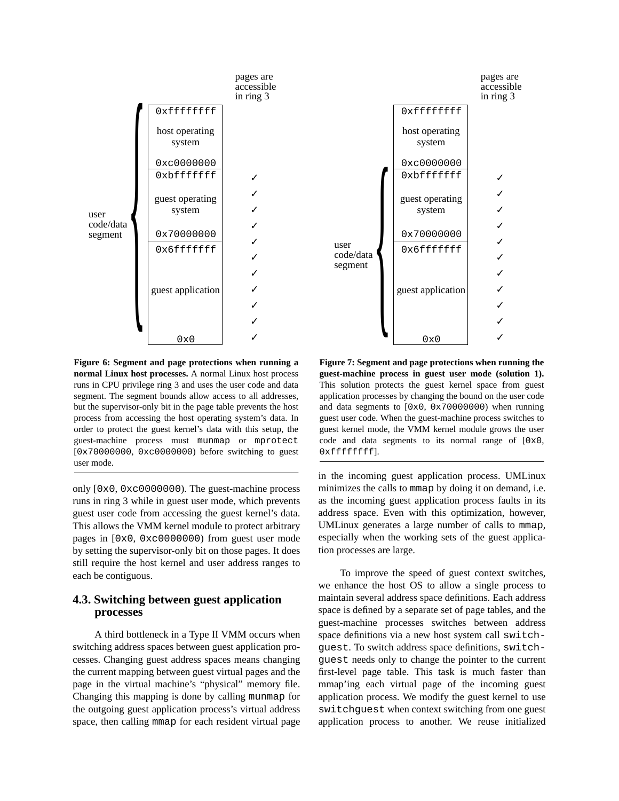

**Figure 6: Segment and page protections when running a normal Linux host processes.** A normal Linux host process runs in CPU privilege ring 3 and uses the user code and data segment. The segment bounds allow access to all addresses, but the supervisor-only bit in the page table prevents the host process from accessing the host operating system's data. In order to protect the guest kernel's data with this setup, the guest-machine process must munmap or mprotect [0x70000000, 0xc0000000) before switching to guest user mode.

only [0x0, 0xc0000000). The guest-machine process runs in ring 3 while in guest user mode, which prevents guest user code from accessing the guest kernel's data. This allows the VMM kernel module to protect arbitrary pages in [0x0, 0xc0000000) from guest user mode by setting the supervisor-only bit on those pages. It does still require the host kernel and user address ranges to each be contiguous.

# **4.3. Switching between guest application processes**

A third bottleneck in a Type II VMM occurs when switching address spaces between guest application processes. Changing guest address spaces means changing the current mapping between guest virtual pages and the page in the virtual machine's "physical" memory file. Changing this mapping is done by calling munmap for the outgoing guest application process's virtual address space, then calling mmap for each resident virtual page



**Figure 7: Segment and page protections when running the guest-machine process in guest user mode (solution 1).** This solution protects the guest kernel space from guest application processes by changing the bound on the user code and data segments to [0x0, 0x70000000) when running guest user code. When the guest-machine process switches to guest kernel mode, the VMM kernel module grows the user code and data segments to its normal range of [0x0, 0xffffffff].

in the incoming guest application process. UMLinux minimizes the calls to mmap by doing it on demand, i.e. as the incoming guest application process faults in its address space. Even with this optimization, however, UMLinux generates a large number of calls to mmap, especially when the working sets of the guest application processes are large.

To improve the speed of guest context switches, we enhance the host OS to allow a single process to maintain several address space definitions. Each address space is defined by a separate set of page tables, and the guest-machine processes switches between address space definitions via a new host system call switchguest. To switch address space definitions, switchguest needs only to change the pointer to the current first-level page table. This task is much faster than mmap'ing each virtual page of the incoming guest application process. We modify the guest kernel to use switchguest when context switching from one guest application process to another. We reuse initialized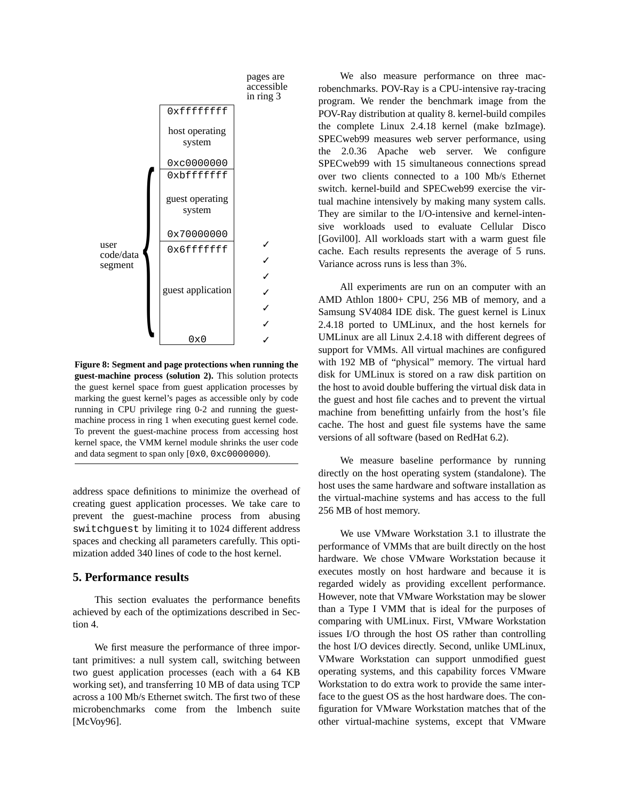

**Figure 8: Segment and page protections when running the guest-machine process (solution 2).** This solution protects the guest kernel space from guest application processes by marking the guest kernel's pages as accessible only by code running in CPU privilege ring 0-2 and running the guestmachine process in ring 1 when executing guest kernel code. To prevent the guest-machine process from accessing host kernel space, the VMM kernel module shrinks the user code and data segment to span only [0x0, 0xc0000000).

address space definitions to minimize the overhead of creating guest application processes. We take care to prevent the guest-machine process from abusing switchguest by limiting it to 1024 different address spaces and checking all parameters carefully. This optimization added 340 lines of code to the host kernel.

#### **5. Performance results**

This section evaluates the performance benefits achieved by each of the optimizations described in Section 4.

We first measure the performance of three important primitives: a null system call, switching between two guest application processes (each with a 64 KB working set), and transferring 10 MB of data using TCP across a 100 Mb/s Ethernet switch. The first two of these microbenchmarks come from the lmbench suite [McVoy96].

We also measure performance on three macrobenchmarks. POV-Ray is a CPU-intensive ray-tracing program. We render the benchmark image from the POV-Ray distribution at quality 8. kernel-build compiles the complete Linux 2.4.18 kernel (make bzImage). SPECweb99 measures web server performance, using the 2.0.36 Apache web server. We configure SPECweb99 with 15 simultaneous connections spread over two clients connected to a 100 Mb/s Ethernet switch. kernel-build and SPECweb99 exercise the virtual machine intensively by making many system calls. They are similar to the I/O-intensive and kernel-intensive workloads used to evaluate Cellular Disco [Govil00]. All workloads start with a warm guest file cache. Each results represents the average of 5 runs. Variance across runs is less than 3%.

All experiments are run on an computer with an AMD Athlon 1800+ CPU, 256 MB of memory, and a Samsung SV4084 IDE disk. The guest kernel is Linux 2.4.18 ported to UMLinux, and the host kernels for UMLinux are all Linux 2.4.18 with different degrees of support for VMMs. All virtual machines are configured with 192 MB of "physical" memory. The virtual hard disk for UMLinux is stored on a raw disk partition on the host to avoid double buffering the virtual disk data in the guest and host file caches and to prevent the virtual machine from benefitting unfairly from the host's file cache. The host and guest file systems have the same versions of all software (based on RedHat 6.2).

We measure baseline performance by running directly on the host operating system (standalone). The host uses the same hardware and software installation as the virtual-machine systems and has access to the full 256 MB of host memory.

We use VMware Workstation 3.1 to illustrate the performance of VMMs that are built directly on the host hardware. We chose VMware Workstation because it executes mostly on host hardware and because it is regarded widely as providing excellent performance. However, note that VMware Workstation may be slower than a Type I VMM that is ideal for the purposes of comparing with UMLinux. First, VMware Workstation issues I/O through the host OS rather than controlling the host I/O devices directly. Second, unlike UMLinux, VMware Workstation can support unmodified guest operating systems, and this capability forces VMware Workstation to do extra work to provide the same interface to the guest OS as the host hardware does. The configuration for VMware Workstation matches that of the other virtual-machine systems, except that VMware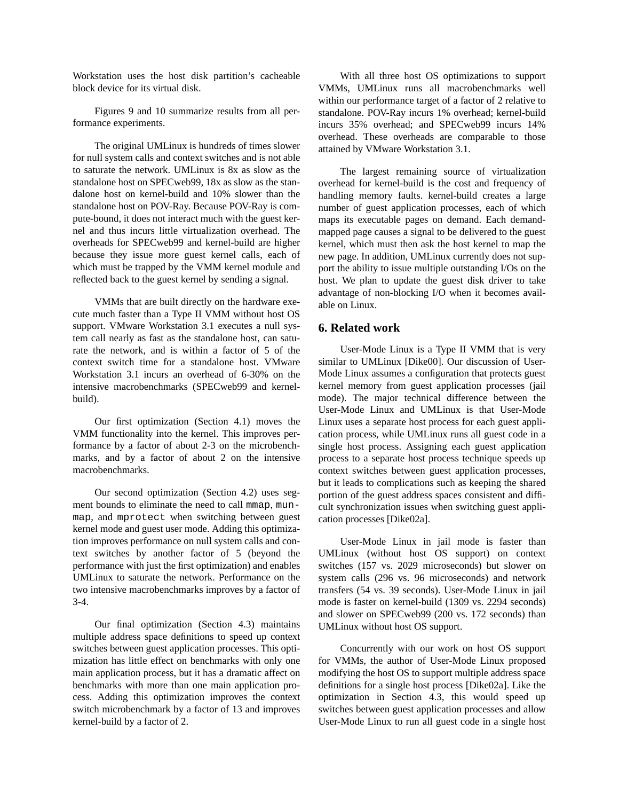Workstation uses the host disk partition's cacheable block device for its virtual disk.

Figures 9 and 10 summarize results from all performance experiments.

The original UMLinux is hundreds of times slower for null system calls and context switches and is not able to saturate the network. UMLinux is 8x as slow as the standalone host on SPECweb99, 18x as slow as the standalone host on kernel-build and 10% slower than the standalone host on POV-Ray. Because POV-Ray is compute-bound, it does not interact much with the guest kernel and thus incurs little virtualization overhead. The overheads for SPECweb99 and kernel-build are higher because they issue more guest kernel calls, each of which must be trapped by the VMM kernel module and reflected back to the guest kernel by sending a signal.

VMMs that are built directly on the hardware execute much faster than a Type II VMM without host OS support. VMware Workstation 3.1 executes a null system call nearly as fast as the standalone host, can saturate the network, and is within a factor of 5 of the context switch time for a standalone host. VMware Workstation 3.1 incurs an overhead of 6-30% on the intensive macrobenchmarks (SPECweb99 and kernelbuild).

Our first optimization (Section 4.1) moves the VMM functionality into the kernel. This improves performance by a factor of about 2-3 on the microbenchmarks, and by a factor of about 2 on the intensive macrobenchmarks.

Our second optimization (Section 4.2) uses segment bounds to eliminate the need to call mmap, munmap, and mprotect when switching between guest kernel mode and guest user mode. Adding this optimization improves performance on null system calls and context switches by another factor of 5 (beyond the performance with just the first optimization) and enables UMLinux to saturate the network. Performance on the two intensive macrobenchmarks improves by a factor of 3-4.

Our final optimization (Section 4.3) maintains multiple address space definitions to speed up context switches between guest application processes. This optimization has little effect on benchmarks with only one main application process, but it has a dramatic affect on benchmarks with more than one main application process. Adding this optimization improves the context switch microbenchmark by a factor of 13 and improves kernel-build by a factor of 2.

With all three host OS optimizations to support VMMs, UMLinux runs all macrobenchmarks well within our performance target of a factor of 2 relative to standalone. POV-Ray incurs 1% overhead; kernel-build incurs 35% overhead; and SPECweb99 incurs 14% overhead. These overheads are comparable to those attained by VMware Workstation 3.1.

The largest remaining source of virtualization overhead for kernel-build is the cost and frequency of handling memory faults. kernel-build creates a large number of guest application processes, each of which maps its executable pages on demand. Each demandmapped page causes a signal to be delivered to the guest kernel, which must then ask the host kernel to map the new page. In addition, UMLinux currently does not support the ability to issue multiple outstanding I/Os on the host. We plan to update the guest disk driver to take advantage of non-blocking I/O when it becomes available on Linux.

# **6. Related work**

User-Mode Linux is a Type II VMM that is very similar to UMLinux [Dike00]. Our discussion of User-Mode Linux assumes a configuration that protects guest kernel memory from guest application processes (jail mode). The major technical difference between the User-Mode Linux and UMLinux is that User-Mode Linux uses a separate host process for each guest application process, while UMLinux runs all guest code in a single host process. Assigning each guest application process to a separate host process technique speeds up context switches between guest application processes, but it leads to complications such as keeping the shared portion of the guest address spaces consistent and difficult synchronization issues when switching guest application processes [Dike02a].

User-Mode Linux in jail mode is faster than UMLinux (without host OS support) on context switches (157 vs. 2029 microseconds) but slower on system calls (296 vs. 96 microseconds) and network transfers (54 vs. 39 seconds). User-Mode Linux in jail mode is faster on kernel-build (1309 vs. 2294 seconds) and slower on SPECweb99 (200 vs. 172 seconds) than UMLinux without host OS support.

Concurrently with our work on host OS support for VMMs, the author of User-Mode Linux proposed modifying the host OS to support multiple address space definitions for a single host process [Dike02a]. Like the optimization in Section 4.3, this would speed up switches between guest application processes and allow User-Mode Linux to run all guest code in a single host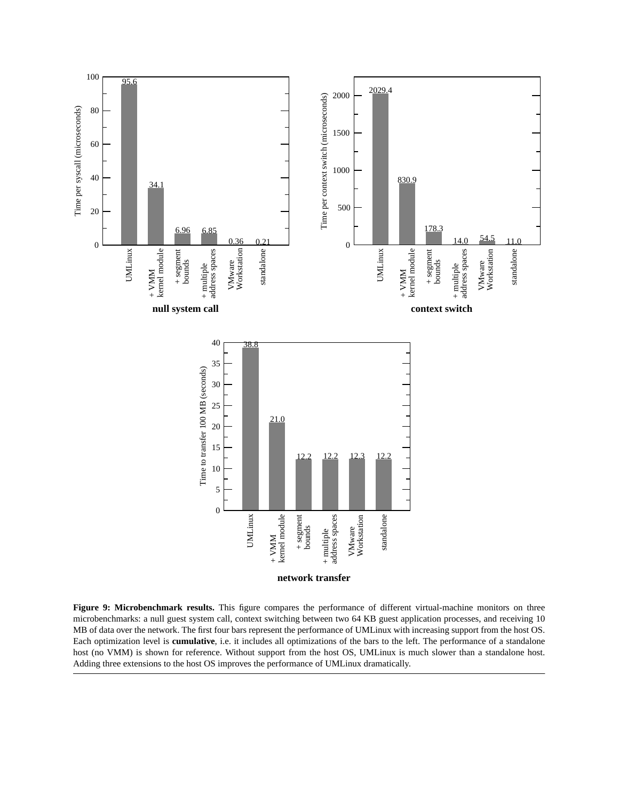

**Figure 9: Microbenchmark results.** This figure compares the performance of different virtual-machine monitors on three microbenchmarks: a null guest system call, context switching between two 64 KB guest application processes, and receiving 10 MB of data over the network. The first four bars represent the performance of UMLinux with increasing support from the host OS. Each optimization level is **cumulative**, i.e. it includes all optimizations of the bars to the left. The performance of a standalone host (no VMM) is shown for reference. Without support from the host OS, UMLinux is much slower than a standalone host. Adding three extensions to the host OS improves the performance of UMLinux dramatically.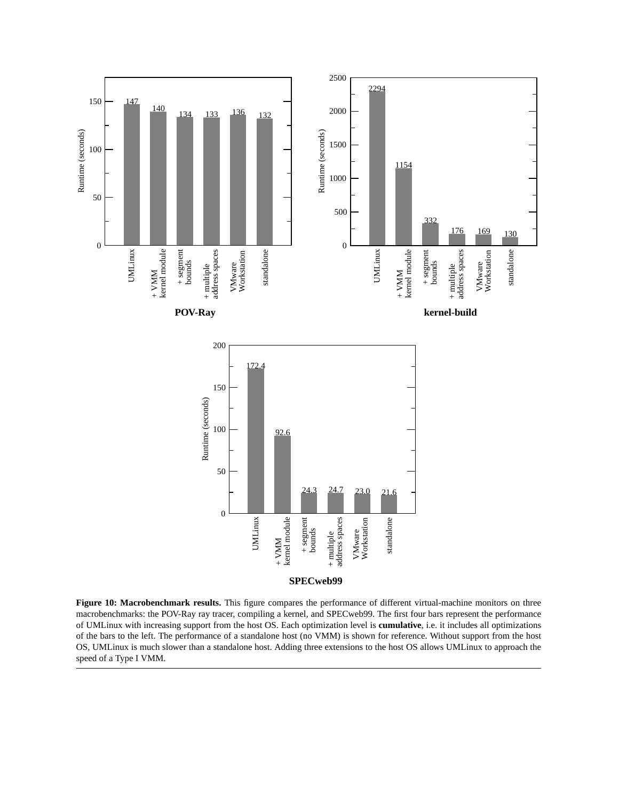

**Figure 10: Macrobenchmark results.** This figure compares the performance of different virtual-machine monitors on three macrobenchmarks: the POV-Ray ray tracer, compiling a kernel, and SPECweb99. The first four bars represent the performance of UMLinux with increasing support from the host OS. Each optimization level is **cumulative**, i.e. it includes all optimizations of the bars to the left. The performance of a standalone host (no VMM) is shown for reference. Without support from the host OS, UMLinux is much slower than a standalone host. Adding three extensions to the host OS allows UMLinux to approach the speed of a Type I VMM.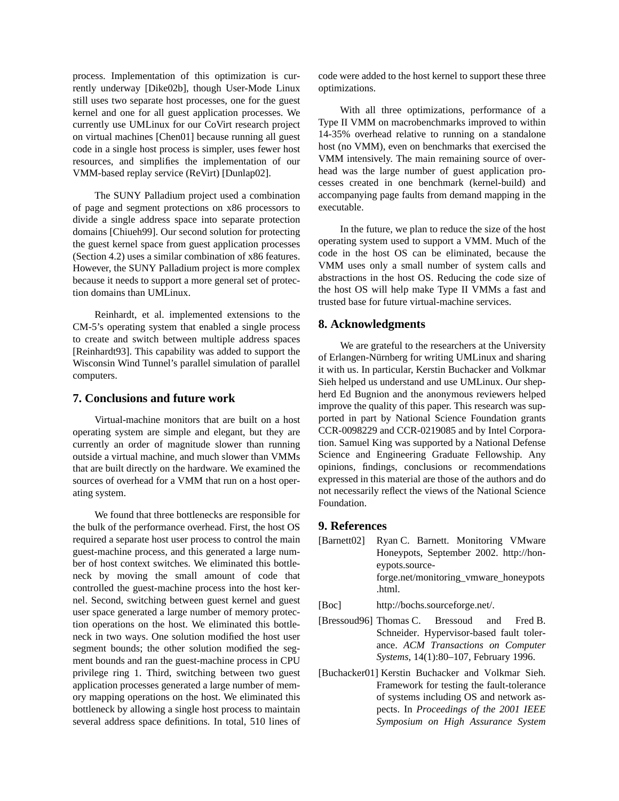process. Implementation of this optimization is currently underway [Dike02b], though User-Mode Linux still uses two separate host processes, one for the guest kernel and one for all guest application processes. We currently use UMLinux for our CoVirt research project on virtual machines [Chen01] because running all guest code in a single host process is simpler, uses fewer host resources, and simplifies the implementation of our VMM-based replay service (ReVirt) [Dunlap02].

The SUNY Palladium project used a combination of page and segment protections on x86 processors to divide a single address space into separate protection domains [Chiueh99]. Our second solution for protecting the guest kernel space from guest application processes (Section 4.2) uses a similar combination of x86 features. However, the SUNY Palladium project is more complex because it needs to support a more general set of protection domains than UMLinux.

Reinhardt, et al. implemented extensions to the CM-5's operating system that enabled a single process to create and switch between multiple address spaces [Reinhardt93]. This capability was added to support the Wisconsin Wind Tunnel's parallel simulation of parallel computers.

#### **7. Conclusions and future work**

Virtual-machine monitors that are built on a host operating system are simple and elegant, but they are currently an order of magnitude slower than running outside a virtual machine, and much slower than VMMs that are built directly on the hardware. We examined the sources of overhead for a VMM that run on a host operating system.

We found that three bottlenecks are responsible for the bulk of the performance overhead. First, the host OS required a separate host user process to control the main guest-machine process, and this generated a large number of host context switches. We eliminated this bottleneck by moving the small amount of code that controlled the guest-machine process into the host kernel. Second, switching between guest kernel and guest user space generated a large number of memory protection operations on the host. We eliminated this bottleneck in two ways. One solution modified the host user segment bounds; the other solution modified the segment bounds and ran the guest-machine process in CPU privilege ring 1. Third, switching between two guest application processes generated a large number of memory mapping operations on the host. We eliminated this bottleneck by allowing a single host process to maintain several address space definitions. In total, 510 lines of code were added to the host kernel to support these three optimizations.

With all three optimizations, performance of a Type II VMM on macrobenchmarks improved to within 14-35% overhead relative to running on a standalone host (no VMM), even on benchmarks that exercised the VMM intensively. The main remaining source of overhead was the large number of guest application processes created in one benchmark (kernel-build) and accompanying page faults from demand mapping in the executable.

In the future, we plan to reduce the size of the host operating system used to support a VMM. Much of the code in the host OS can be eliminated, because the VMM uses only a small number of system calls and abstractions in the host OS. Reducing the code size of the host OS will help make Type II VMMs a fast and trusted base for future virtual-machine services.

#### **8. Acknowledgments**

We are grateful to the researchers at the University of Erlangen-Nürnberg for writing UMLinux and sharing it with us. In particular, Kerstin Buchacker and Volkmar Sieh helped us understand and use UMLinux. Our shepherd Ed Bugnion and the anonymous reviewers helped improve the quality of this paper. This research was supported in part by National Science Foundation grants CCR-0098229 and CCR-0219085 and by Intel Corporation. Samuel King was supported by a National Defense Science and Engineering Graduate Fellowship. Any opinions, findings, conclusions or recommendations expressed in this material are those of the authors and do not necessarily reflect the views of the National Science Foundation.

## **9. References**

- [Barnett02] Ryan C. Barnett. Monitoring VMware Honeypots, September 2002. http://honeypots.sourceforge.net/monitoring\_vmware\_honeypots .html.
- [Boc] http://bochs.sourceforge.net/.
- [Bressoud96] Thomas C. Bressoud and Fred B. Schneider. Hypervisor-based fault tolerance. *ACM Transactions on Computer Systems*, 14(1):80–107, February 1996.
- [Buchacker01] Kerstin Buchacker and Volkmar Sieh. Framework for testing the fault-tolerance of systems including OS and network aspects. In *Proceedings of the 2001 IEEE Symposium on High Assurance System*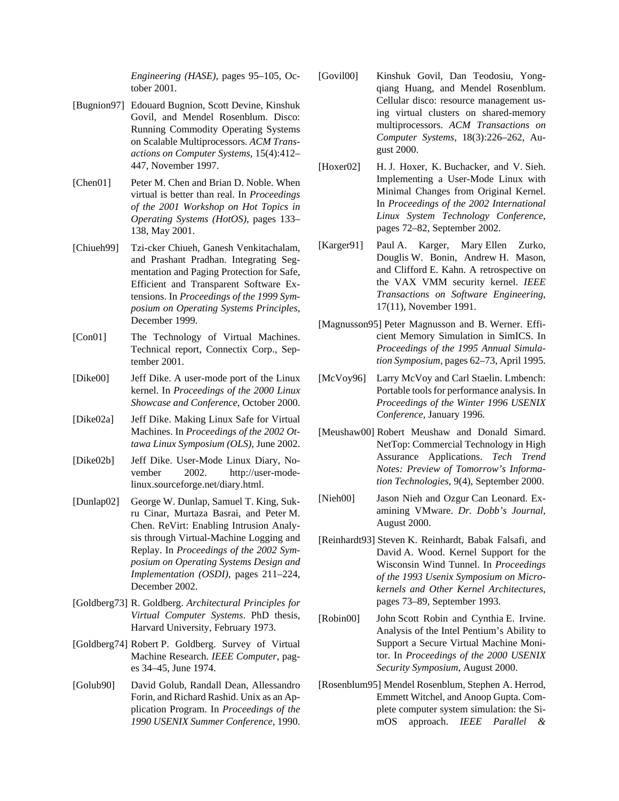*Engineering (HASE)*, pages 95–105, October 2001.

- [Bugnion97] Edouard Bugnion, Scott Devine, Kinshuk Govil, and Mendel Rosenblum. Disco: Running Commodity Operating Systems on Scalable Multiprocessors. *ACM Transactions on Computer Systems*, 15(4):412– 447, November 1997.
- [Chen01] Peter M. Chen and Brian D. Noble. When virtual is better than real. In *Proceedings of the 2001 Workshop on Hot Topics in Operating Systems (HotOS)*, pages 133– 138, May 2001.
- [Chiueh99] Tzi-cker Chiueh, Ganesh Venkitachalam, and Prashant Pradhan. Integrating Segmentation and Paging Protection for Safe, Efficient and Transparent Software Extensions. In *Proceedings of the 1999 Symposium on Operating Systems Principles*, December 1999.
- [Con01] The Technology of Virtual Machines. Technical report, Connectix Corp., September 2001.
- [Dike00] Jeff Dike. A user-mode port of the Linux kernel. In *Proceedings of the 2000 Linux Showcase and Conference*, October 2000.
- [Dike02a] Jeff Dike. Making Linux Safe for Virtual Machines. In *Proceedings of the 2002 Ottawa Linux Symposium (OLS)*, June 2002.
- [Dike02b] Jeff Dike. User-Mode Linux Diary, November 2002. http://user-modelinux.sourceforge.net/diary.html.
- [Dunlap02] George W. Dunlap, Samuel T. King, Sukru Cinar, Murtaza Basrai, and Peter M. Chen. ReVirt: Enabling Intrusion Analysis through Virtual-Machine Logging and Replay. In *Proceedings of the 2002 Symposium on Operating Systems Design and Implementation (OSDI)*, pages 211–224, December 2002.
- [Goldberg73] R. Goldberg. *Architectural Principles for Virtual Computer Systems*. PhD thesis, Harvard University, February 1973.
- [Goldberg74] Robert P. Goldberg. Survey of Virtual Machine Research. *IEEE Computer*, pages 34–45, June 1974.
- [Golub90] David Golub, Randall Dean, Allessandro Forin, and Richard Rashid. Unix as an Application Program. In *Proceedings of the 1990 USENIX Summer Conference*, 1990.
- [Govil00] Kinshuk Govil, Dan Teodosiu, Yongqiang Huang, and Mendel Rosenblum. Cellular disco: resource management using virtual clusters on shared-memory multiprocessors. *ACM Transactions on Computer Systems*, 18(3):226–262, August 2000.
- [Hoxer02] H. J. Hoxer, K. Buchacker, and V. Sieh. Implementing a User-Mode Linux with Minimal Changes from Original Kernel. In *Proceedings of the 2002 International Linux System Technology Conference*, pages 72–82, September 2002.
- [Karger91] Paul A. Karger, Mary Ellen Zurko, Douglis W. Bonin, Andrew H. Mason, and Clifford E. Kahn. A retrospective on the VAX VMM security kernel. *IEEE Transactions on Software Engineering*, 17(11), November 1991.
- [Magnusson95] Peter Magnusson and B. Werner. Efficient Memory Simulation in SimICS. In *Proceedings of the 1995 Annual Simulation Symposium*, pages 62–73, April 1995.
- [McVoy96] Larry McVoy and Carl Staelin. Lmbench: Portable tools for performance analysis. In *Proceedings of the Winter 1996 USENIX Conference*, January 1996.
- [Meushaw00] Robert Meushaw and Donald Simard. NetTop: Commercial Technology in High Assurance Applications. *Tech Trend Notes: Preview of Tomorrow's Information Technologies*, 9(4), September 2000.
- [Nieh00] Jason Nieh and Ozgur Can Leonard. Examining VMware. *Dr. Dobb's Journal*, August 2000.
- [Reinhardt93] Steven K. Reinhardt, Babak Falsafi, and David A. Wood. Kernel Support for the Wisconsin Wind Tunnel. In *Proceedings of the 1993 Usenix Symposium on Microkernels and Other Kernel Architectures*, pages 73–89, September 1993.
- [Robin00] John Scott Robin and Cynthia E. Irvine. Analysis of the Intel Pentium's Ability to Support a Secure Virtual Machine Monitor. In *Proceedings of the 2000 USENIX Security Symposium*, August 2000.
- [Rosenblum95] Mendel Rosenblum, Stephen A. Herrod, Emmett Witchel, and Anoop Gupta. Complete computer system simulation: the SimOS approach. *IEEE Parallel &*